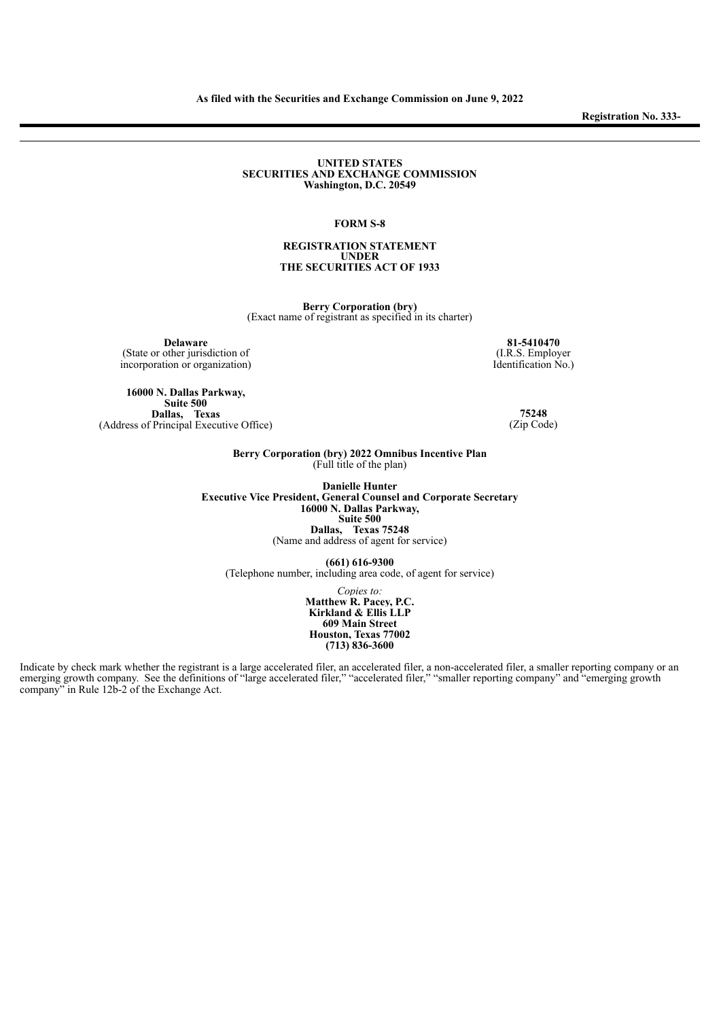**Registration No. 333-**

#### **UNITED STATES SECURITIES AND EXCHANGE COMMISSION Washington, D.C. 20549**

## **FORM S-8**

## **REGISTRATION STATEMENT UNDER THE SECURITIES ACT OF 1933**

**Berry Corporation (bry)** (Exact name of registrant as specified in its charter)

**Delaware** (State or other jurisdiction of incorporation or organization)

**16000 N. Dallas Parkway, Suite 500 Dallas, Texas** (Address of Principal Executive Office)

**81-5410470** (I.R.S. Employer Identification No.)

> **75248** (Zip Code)

**Berry Corporation (bry) 2022 Omnibus Incentive Plan** (Full title of the plan)

**Danielle Hunter Executive Vice President, General Counsel and Corporate Secretary 16000 N. Dallas Parkway, Suite 500 Dallas, Texas 75248** (Name and address of agent for service)

**(661) 616-9300** (Telephone number, including area code, of agent for service)

> *Copies to:* **Matthew R. Pacey, P.C. Kirkland & Ellis LLP 609 Main Street Houston, Texas 77002 (713) 836-3600**

Indicate by check mark whether the registrant is a large accelerated filer, an accelerated filer, a non-accelerated filer, a smaller reporting company or an emerging growth company. See the definitions of "large accelerated filer," "accelerated filer," "smaller reporting company" and "emerging growth company" in Rule 12b-2 of the Exchange Act.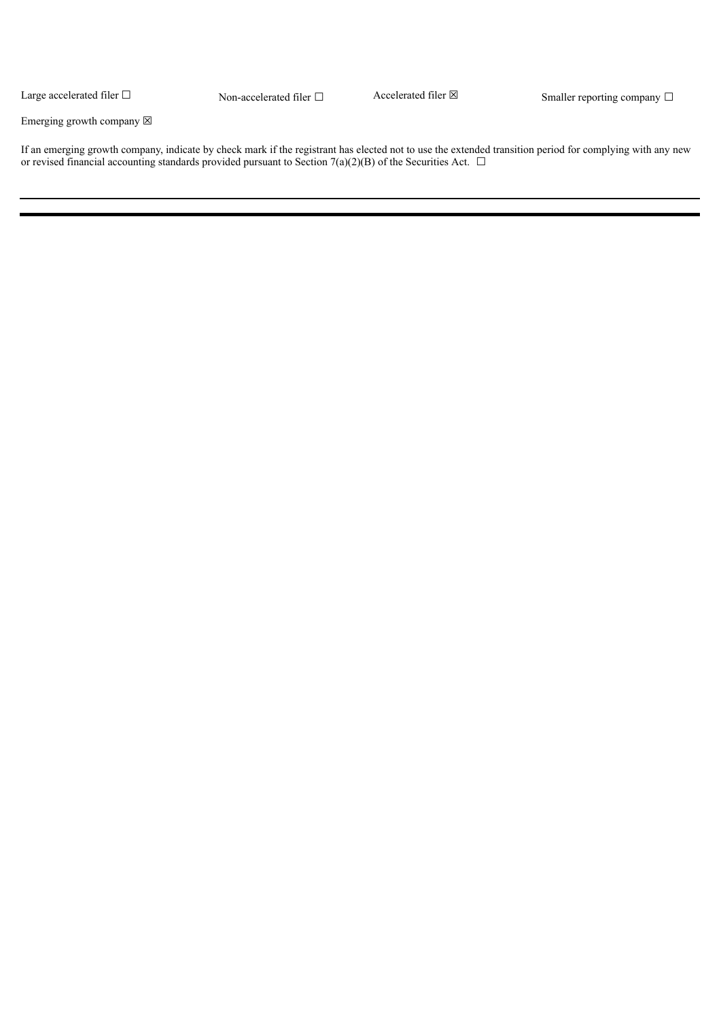Large accelerated filer  $\Box$ 

Non-accelerated filer  $□$  Accelerated filer  $□$  Smaller reporting company  $□$ 

Emerging growth company  $\boxtimes$ 

If an emerging growth company, indicate by check mark if the registrant has elected not to use the extended transition period for complying with any new or revised financial accounting standards provided pursuant to Section 7(a)(2)(B) of the Securities Act.  $\Box$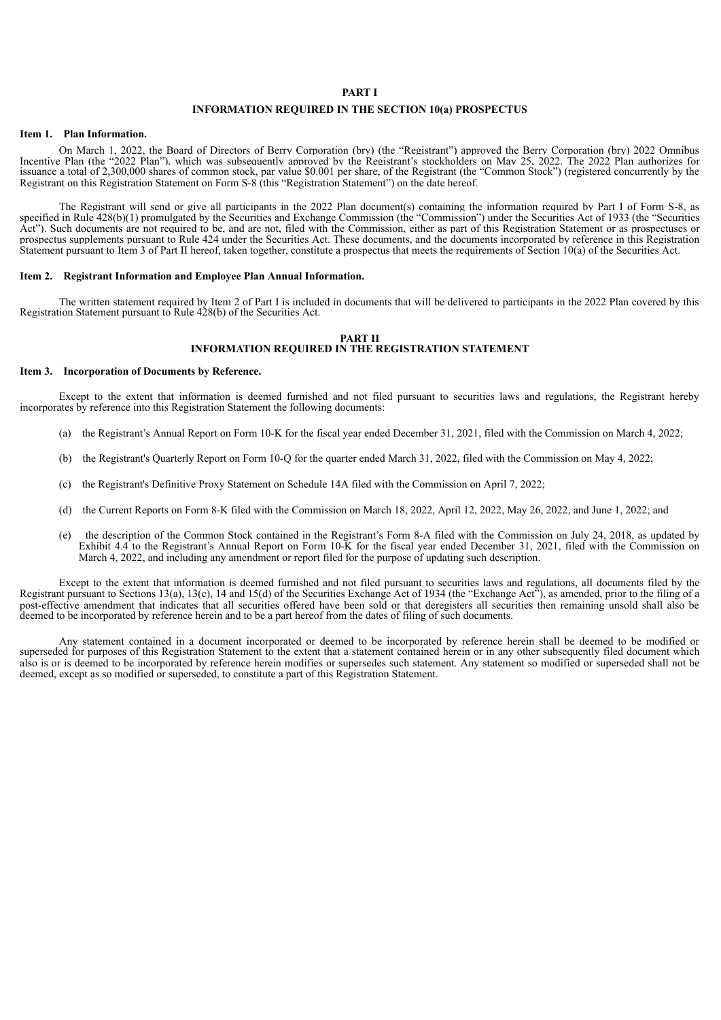#### **PART I**

# **INFORMATION REQUIRED IN THE SECTION 10(a) PROSPECTUS**

#### **Item 1. Plan Information.**

On March 1, 2022, the Board of Directors of Berry Corporation (bry) (the "Registrant") approved the Berry Corporation (bry) 2022 Omnibus Incentive Plan (the "2022 Plan"), which was subsequently approved by the Registrant's stockholders on May 25, 2022. The 2022 Plan authorizes for issuance a total of 2,300,000 shares of common stock, par value \$0.001 per share, of the Registrant (the "Common Stock") (registered concurrently by the Registrant on this Registration Statement on Form S-8 (this "Registration Statement") on the date hereof.

The Registrant will send or give all participants in the 2022 Plan document(s) containing the information required by Part I of Form S-8, as specified in Rule 428(b)(1) promulgated by the Securities and Exchange Commission (the "Commission") under the Securities Act of 1933 (the "Securities Act"). Such documents are not required to be, and are not, filed with the Commission, either as part of this Registration Statement or as prospectuses or prospectus supplements pursuant to Rule 424 under the Securities Act. These documents, and the documents incorporated by reference in this Registration Statement pursuant to Item 3 of Part II hereof, taken together, constitute a prospectus that meets the requirements of Section 10(a) of the Securities Act.

# **Item 2. Registrant Information and Employee Plan Annual Information.**

The written statement required by Item 2 of Part I is included in documents that will be delivered to participants in the 2022 Plan covered by this Registration Statement pursuant to Rule 428(b) of the Securities Act.

#### **PART II INFORMATION REQUIRED IN THE REGISTRATION STATEMENT**

#### **Item 3. Incorporation of Documents by Reference.**

Except to the extent that information is deemed furnished and not filed pursuant to securities laws and regulations, the Registrant hereby incorporates by reference into this Registration Statement the following documents:

- (a) the Registrant's Annual Report on Form 10-K for the fiscal year ended December 31, 2021, filed with the Commission on March 4, 2022;
- (b) the Registrant's Quarterly Report on Form 10-Q for the quarter ended March 31, 2022, filed with the Commission on May 4, 2022;
- (c) the Registrant's Definitive Proxy Statement on Schedule 14A filed with the Commission on April 7, 2022;
- (d) the Current Reports on Form 8-K filed with the Commission on March 18, 2022, April 12, 2022, May 26, 2022, and June 1, 2022; and
- (e) the description of the Common Stock contained in the Registrant's Form 8-A filed with the Commission on July 24, 2018, as updated by Exhibit 4.4 to the Registrant's Annual Report on Form 10-K for the fiscal year ended December 31, 2021, filed with the Commission on March 4, 2022, and including any amendment or report filed for the purpose of updating such description.

Except to the extent that information is deemed furnished and not filed pursuant to securities laws and regulations, all documents filed by the Registrant pursuant to Sections 13(a), 13(c), 14 and 15(d) of the Securities Exchange Act of 1934 (the "Exchange Act"), as amended, prior to the filing of a post-effective amendment that indicates that all securities offered have been sold or that deregisters all securities then remaining unsold shall also be deemed to be incorporated by reference herein and to be a part hereof from the dates of filing of such documents.

Any statement contained in a document incorporated or deemed to be incorporated by reference herein shall be deemed to be modified or superseded for purposes of this Registration Statement to the extent that a statement contained herein or in any other subsequently filed document which also is or is deemed to be incorporated by reference herein modifies or supersedes such statement. Any statement so modified or superseded shall not be deemed, except as so modified or superseded, to constitute a part of this Registration Statement.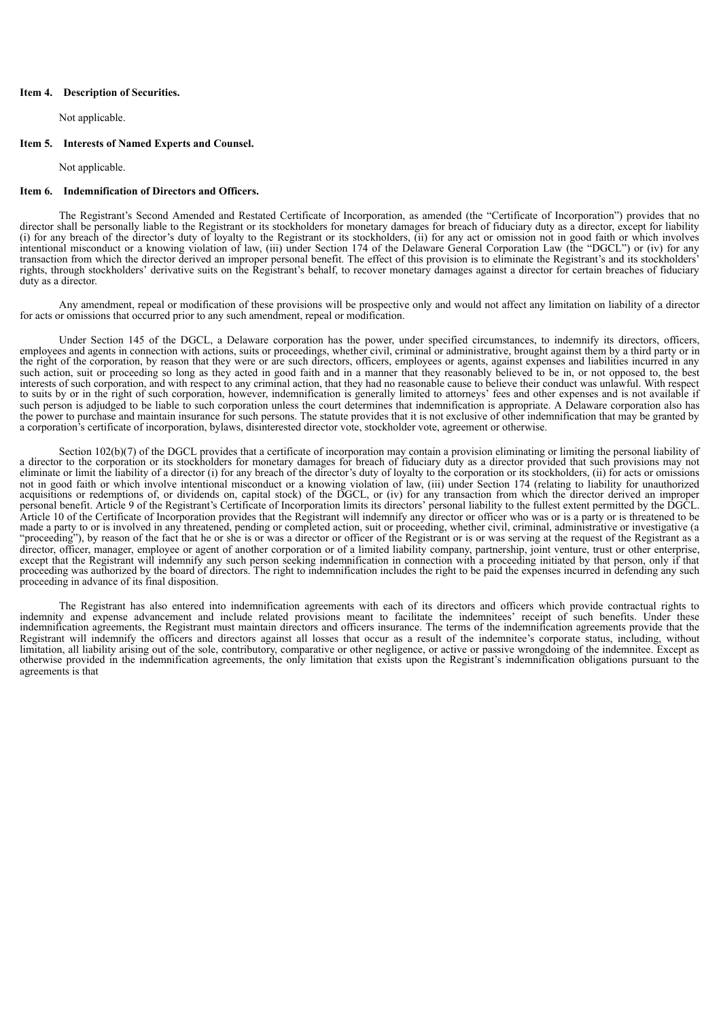## **Item 4. Description of Securities.**

Not applicable.

# **Item 5. Interests of Named Experts and Counsel.**

Not applicable.

# **Item 6. Indemnification of Directors and Officers.**

The Registrant's Second Amended and Restated Certificate of Incorporation, as amended (the "Certificate of Incorporation") provides that no director shall be personally liable to the Registrant or its stockholders for monetary damages for breach of fiduciary duty as a director, except for liability (i) for any breach of the director's duty of loyalty to the Registrant or its stockholders, (ii) for any act or omission not in good faith or which involves intentional misconduct or a knowing violation of law, (iii) under Section 174 of the Delaware General Corporation Law (the "DGCL") or (iv) for any transaction from which the director derived an improper personal benefit. The effect of this provision is to eliminate the Registrant's and its stockholders' rights, through stockholders' derivative suits on the Registrant's behalf, to recover monetary damages against a director for certain breaches of fiduciary duty as a director.

Any amendment, repeal or modification of these provisions will be prospective only and would not affect any limitation on liability of a director for acts or omissions that occurred prior to any such amendment, repeal or modification.

Under Section 145 of the DGCL, a Delaware corporation has the power, under specified circumstances, to indemnify its directors, officers, employees and agents in connection with actions, suits or proceedings, whether civil, criminal or administrative, brought against them by a third party or in the right of the corporation, by reason that they were or are such directors, officers, employees or agents, against expenses and liabilities incurred in any such action, suit or proceeding so long as they acted in good faith and in a manner that they reasonably believed to be in, or not opposed to, the best interests of such corporation, and with respect to any criminal action, that they had no reasonable cause to believe their conduct was unlawful. With respect to suits by or in the right of such corporation, however, indemnification is generally limited to attorneys' fees and other expenses and is not available if such person is adjudged to be liable to such corporation unless the court determines that indemnification is appropriate. A Delaware corporation also has the power to purchase and maintain insurance for such persons. The statute provides that it is not exclusive of other indemnification that may be granted by a corporation's certificate of incorporation, bylaws, disinterested director vote, stockholder vote, agreement or otherwise.

Section 102(b)(7) of the DGCL provides that a certificate of incorporation may contain a provision eliminating or limiting the personal liability of a director to the corporation or its stockholders for monetary damages for breach of fiduciary duty as a director provided that such provisions may not eliminate or limit the liability of a director (i) for any breach of the director's duty of loyalty to the corporation or its stockholders, (ii) for acts or omissions not in good faith or which involve intentional misconduct or a knowing violation of law, (iii) under Section 174 (relating to liability for unauthorized acquisitions or redemptions of, or dividends on, capital stock) of the DGCL, or (iv) for any transaction from which the director derived an improper personal benefit. Article 9 of the Registrant's Certificate of Incorporation limits its directors' personal liability to the fullest extent permitted by the DGCL. Article 10 of the Certificate of Incorporation provides that the Registrant will indemnify any director or officer who was or is a party or is threatened to be made a party to or is involved in any threatened, pending or completed action, suit or proceeding, whether civil, criminal, administrative or investigative (a "proceeding"), by reason of the fact that he or she is or was a director or officer of the Registrant or is or was serving at the request of the Registrant as a director, officer, manager, employee or agent of another corporation or of a limited liability company, partnership, joint venture, trust or other enterprise, except that the Registrant will indemnify any such person seeking indemnification in connection with a proceeding initiated by that person, only if that proceeding was authorized by the board of directors. The right to indemnification includes the right to be paid the expenses incurred in defending any such proceeding in advance of its final disposition.

The Registrant has also entered into indemnification agreements with each of its directors and officers which provide contractual rights to indemnity and expense advancement and include related provisions meant to facilitate the indemnitees' receipt of such benefits. Under these indemnification agreements, the Registrant must maintain directors and officers insurance. The terms of the indemnification agreements provide that the Registrant will indemnify the officers and directors against all losses that occur as a result of the indemnitee's corporate status, including, without limitation, all liability arising out of the sole, contributory, comparative or other negligence, or active or passive wrongdoing of the indemnitee. Except as otherwise provided in the indemnification agreements, the only limitation that exists upon the Registrant's indemnification obligations pursuant to the agreements is that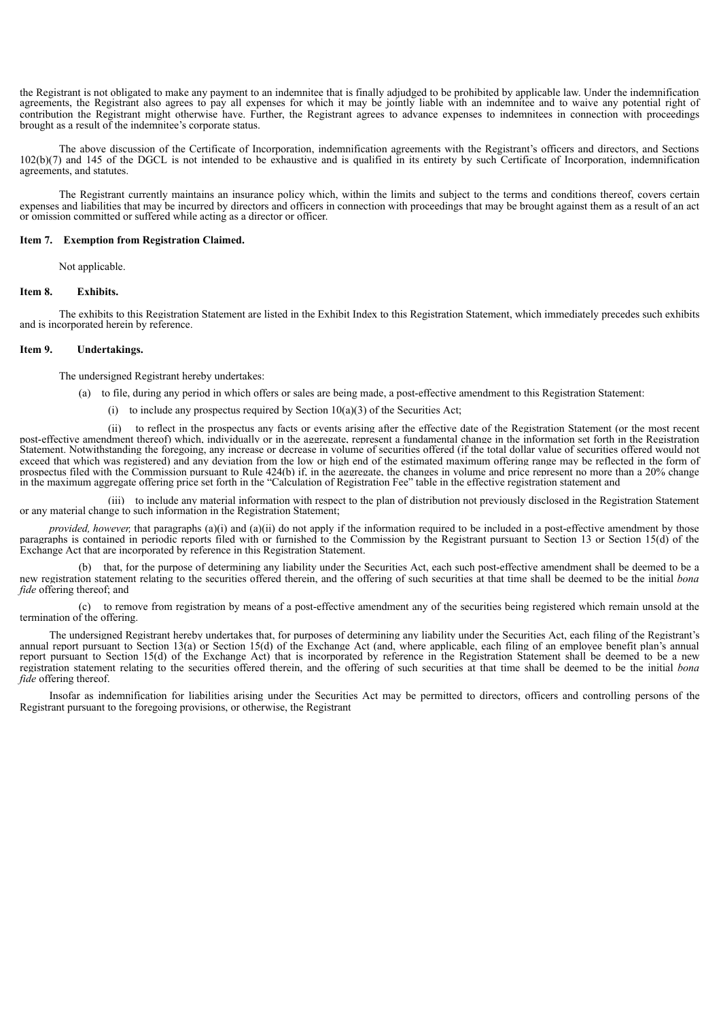the Registrant is not obligated to make any payment to an indemnitee that is finally adjudged to be prohibited by applicable law. Under the indemnification agreements, the Registrant also agrees to pay all expenses for which it may be jointly liable with an indemnitee and to waive any potential right of contribution the Registrant might otherwise have. Further, the Registrant agrees to advance expenses to indemnitees in connection with proceedings brought as a result of the indemnitee's corporate status.

The above discussion of the Certificate of Incorporation, indemnification agreements with the Registrant's officers and directors, and Sections 102(b)(7) and 145 of the DGCL is not intended to be exhaustive and is qualified in its entirety by such Certificate of Incorporation, indemnification agreements, and statutes.

The Registrant currently maintains an insurance policy which, within the limits and subject to the terms and conditions thereof, covers certain expenses and liabilities that may be incurred by directors and officers in connection with proceedings that may be brought against them as a result of an act or omission committed or suffered while acting as a director or officer.

## **Item 7. Exemption from Registration Claimed.**

Not applicable.

#### **Item 8. Exhibits.**

The exhibits to this Registration Statement are listed in the Exhibit Index to this Registration Statement, which immediately precedes such exhibits and is incorporated herein by reference.

## **Item 9. Undertakings.**

The undersigned Registrant hereby undertakes:

- (a) to file, during any period in which offers or sales are being made, a post-effective amendment to this Registration Statement:
	- (i) to include any prospectus required by Section  $10(a)(3)$  of the Securities Act;

(ii) to reflect in the prospectus any facts or events arising after the effective date of the Registration Statement (or the most recent post-effective amendment thereof) which, individually or in the aggregate, represent a fundamental change in the information set forth in the Registration Statement. Notwithstanding the foregoing, any increase or decrease in volume of securities offered (if the total dollar value of securities offered would not exceed that which was registered) and any deviation from the low or high end of the estimated maximum offering range may be reflected in the form of prospectus filed with the Commission pursuant to Rule 424(b) if, in the aggregate, the changes in volume and price represent no more than a 20% change in the maximum aggregate offering price set forth in the "Calculation of Registration Fee" table in the effective registration statement and

(iii) to include any material information with respect to the plan of distribution not previously disclosed in the Registration Statement or any material change to such information in the Registration Statement;

*provided, however,* that paragraphs (a)(i) and (a)(ii) do not apply if the information required to be included in a post-effective amendment by those paragraphs is contained in periodic reports filed with or furnished to the Commission by the Registrant pursuant to Section 13 or Section 15(d) of the Exchange Act that are incorporated by reference in this Registration Statement.

(b) that, for the purpose of determining any liability under the Securities Act, each such post-effective amendment shall be deemed to be a new registration statement relating to the securities offered therein, and the offering of such securities at that time shall be deemed to be the initial *bona fide* offering thereof; and

(c) to remove from registration by means of a post-effective amendment any of the securities being registered which remain unsold at the termination of the offering.

The undersigned Registrant hereby undertakes that, for purposes of determining any liability under the Securities Act, each filing of the Registrant's annual report pursuant to Section 13(a) or Section 15(d) of the Exchange Act (and, where applicable, each filing of an employee benefit plan's annual report pursuant to Section 15(d) of the Exchange Act) that is incorporated by reference in the Registration Statement shall be deemed to be a new registration statement relating to the securities offered therein, and the offering of such securities at that time shall be deemed to be the initial *bona fide* offering thereof.

Insofar as indemnification for liabilities arising under the Securities Act may be permitted to directors, officers and controlling persons of the Registrant pursuant to the foregoing provisions, or otherwise, the Registrant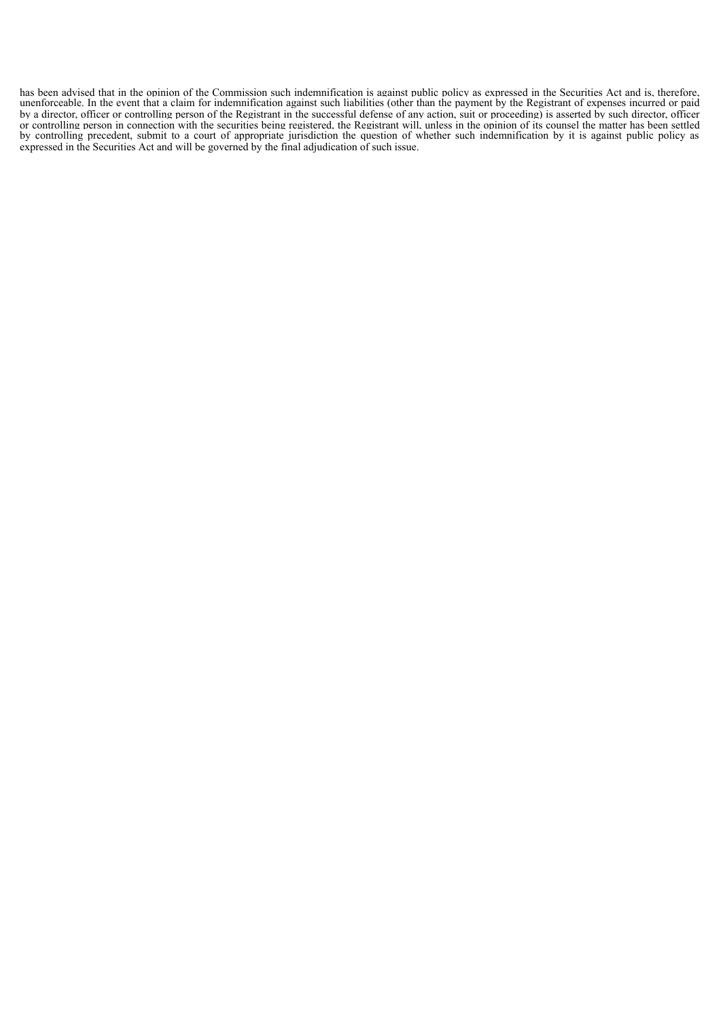has been advised that in the opinion of the Commission such indemnification is against public policy as expressed in the Securities Act and is, therefore, unenforceable. In the event that a claim for indemnification against such liabilities (other than the payment by the Registrant of expenses incurred or paid by a director, officer or controlling person of the Registrant in the successful defense of any action, suit or proceeding) is asserted by such director, officer or controlling person in connection with the securities being registered, the Registrant will, unless in the opinion of its counsel the matter has been settled by controlling precedent, submit to a court of appropriate jurisdiction the question of whether such indemnification by it is against public policy as expressed in the Securities Act and will be governed by the final adjudication of such issue.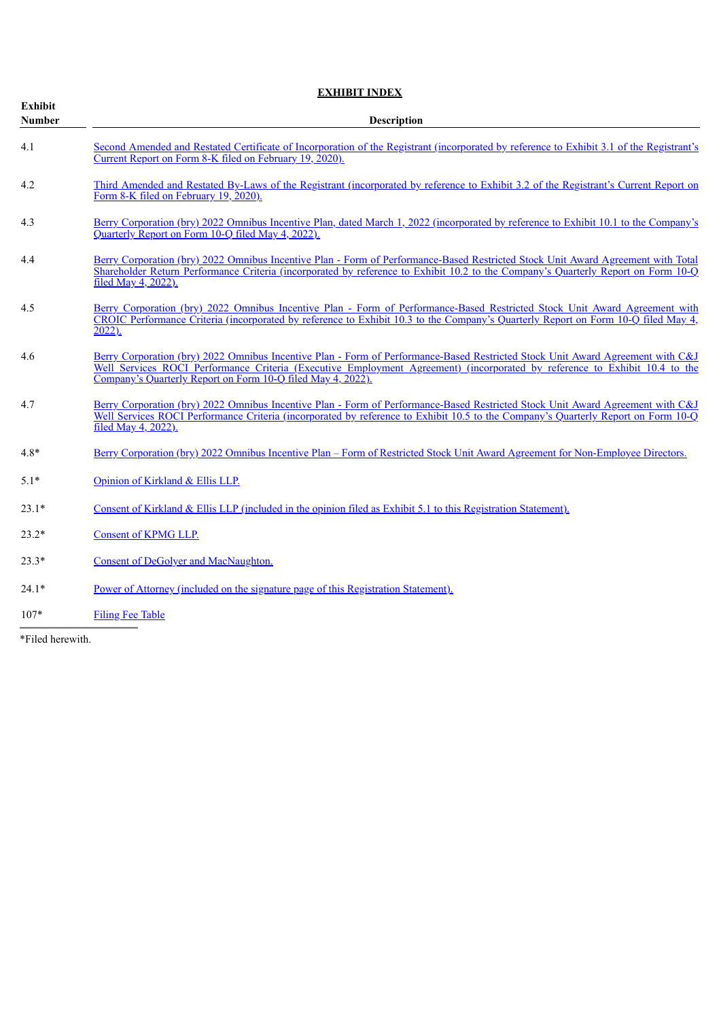|                                 | <b>EXHIBIT INDEX</b>                                                                                                                                                                                                                                                                                                        |  |  |  |  |  |  |
|---------------------------------|-----------------------------------------------------------------------------------------------------------------------------------------------------------------------------------------------------------------------------------------------------------------------------------------------------------------------------|--|--|--|--|--|--|
| <b>Exhibit</b><br><b>Number</b> | Description                                                                                                                                                                                                                                                                                                                 |  |  |  |  |  |  |
| 4.1                             | Second Amended and Restated Certificate of Incorporation of the Registrant (incorporated by reference to Exhibit 3.1 of the Registrant's<br>Current Report on Form 8-K filed on February 19, 2020).                                                                                                                         |  |  |  |  |  |  |
| 4.2                             | Third Amended and Restated By-Laws of the Registrant (incorporated by reference to Exhibit 3.2 of the Registrant's Current Report on<br>Form 8-K filed on February 19, 2020).                                                                                                                                               |  |  |  |  |  |  |
| 4.3                             | Berry Corporation (bry) 2022 Omnibus Incentive Plan, dated March 1, 2022 (incorporated by reference to Exhibit 10.1 to the Company's<br>Quarterly Report on Form 10-O filed May 4, 2022)                                                                                                                                    |  |  |  |  |  |  |
| 4.4                             | Berry Corporation (bry) 2022 Omnibus Incentive Plan - Form of Performance-Based Restricted Stock Unit Award Agreement with Total<br>Shareholder Return Performance Criteria (incorporated by reference to Exhibit 10.2 to the Company's Quarterly Report on Form 10-Q<br>filed May 4, 2022).                                |  |  |  |  |  |  |
| 4.5                             | Berry Corporation (bry) 2022 Omnibus Incentive Plan - Form of Performance-Based Restricted Stock Unit Award Agreement with<br>CROIC Performance Criteria (incorporated by reference to Exhibit 10.3 to the Company's Quarterly Report on Form 10-Q filed May 4,<br>$2022$ ).                                                |  |  |  |  |  |  |
| 4.6                             | Berry Corporation (bry) 2022 Omnibus Incentive Plan - Form of Performance-Based Restricted Stock Unit Award Agreement with C&J<br>Well Services ROCI Performance Criteria (Executive Employment Agreement) (incorporated by reference to Exhibit 10.4 to the<br>Company's Quarterly Report on Form 10-Q filed May 4, 2022). |  |  |  |  |  |  |
| 4.7                             | Berry Corporation (bry) 2022 Omnibus Incentive Plan - Form of Performance-Based Restricted Stock Unit Award Agreement with C&J<br>Well Services ROCI Performance Criteria (incorporated by reference to Exhibit 10.5 to the Company's Quarterly Report on Form 10-Q<br>filed May 4, 2022).                                  |  |  |  |  |  |  |
| $4.8*$                          | Berry Corporation (bry) 2022 Omnibus Incentive Plan – Form of Restricted Stock Unit Award Agreement for Non-Employee Directors.                                                                                                                                                                                             |  |  |  |  |  |  |
| $5.1*$                          | Opinion of Kirkland & Ellis LLP.                                                                                                                                                                                                                                                                                            |  |  |  |  |  |  |
| $23.1*$                         | Consent of Kirkland & Ellis LLP (included in the opinion filed as Exhibit 5.1 to this Registration Statement).                                                                                                                                                                                                              |  |  |  |  |  |  |
| $23.2*$                         | <b>Consent of KPMG LLP.</b>                                                                                                                                                                                                                                                                                                 |  |  |  |  |  |  |
| $23.3*$                         | <b>Consent of DeGolyer and MacNaughton.</b>                                                                                                                                                                                                                                                                                 |  |  |  |  |  |  |
| $24.1*$                         | Power of Attorney (included on the signature page of this Registration Statement).                                                                                                                                                                                                                                          |  |  |  |  |  |  |
| $107*$                          | <b>Filing Fee Table</b>                                                                                                                                                                                                                                                                                                     |  |  |  |  |  |  |

<span id="page-6-0"></span>\*Filed herewith.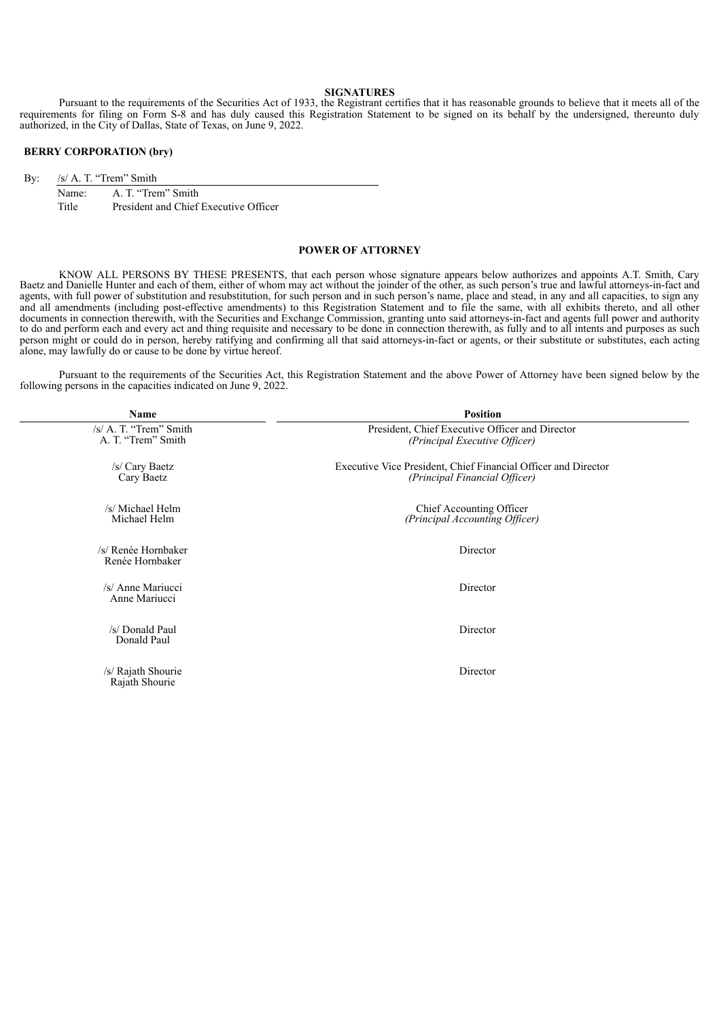# **SIGNATURES**

Pursuant to the requirements of the Securities Act of 1933, the Registrant certifies that it has reasonable grounds to believe that it meets all of the requirements for filing on Form S-8 and has duly caused this Registration Statement to be signed on its behalf by the undersigned, thereunto duly authorized, in the City of Dallas, State of Texas, on June 9, 2022.

# **BERRY CORPORATION (bry)**

By: /s/ A. T. "Trem" Smith

| Name: | A. T. "Trem" Smith                    |
|-------|---------------------------------------|
| Title | President and Chief Executive Officer |

# **POWER OF ATTORNEY**

KNOW ALL PERSONS BY THESE PRESENTS, that each person whose signature appears below authorizes and appoints A.T. Smith, Cary Baetz and Danielle Hunter and each of them, either of whom may act without the joinder of the other, as such person's true and lawful attorneys-in-fact and agents, with full power of substitution and resubstitution, for such person and in such person's name, place and stead, in any and all capacities, to sign any and all amendments (including post-effective amendments) to this Registration Statement and to file the same, with all exhibits thereto, and all other documents in connection therewith, with the Securities and Exchange Commission, granting unto said attorneys-in-fact and agents full power and authority to do and perform each and every act and thing requisite and necessary to be done in connection therewith, as fully and to all intents and purposes as such person might or could do in person, hereby ratifying and confirming all that said attorneys-in-fact or agents, or their substitute or substitutes, each acting alone, may lawfully do or cause to be done by virtue hereof.

Pursuant to the requirements of the Securities Act, this Registration Statement and the above Power of Attorney have been signed below by the following persons in the capacities indicated on June 9, 2022.

| Name                                            | <b>Position</b>                                                                                 |  |  |
|-------------------------------------------------|-------------------------------------------------------------------------------------------------|--|--|
| $/s/ A$ . T. "Trem" Smith<br>A. T. "Trem" Smith | President, Chief Executive Officer and Director<br>(Principal Executive Officer)                |  |  |
| /s/ Cary Baetz<br>Cary Baetz                    | Executive Vice President, Chief Financial Officer and Director<br>(Principal Financial Officer) |  |  |
| /s/ Michael Helm<br>Michael Helm                | Chief Accounting Officer<br>(Principal Accounting Officer)                                      |  |  |
| /s/ Renée Hornbaker<br>Renée Hornbaker          | Director                                                                                        |  |  |
| /s/ Anne Mariucci<br>Anne Mariucci              | Director                                                                                        |  |  |
| /s/ Donald Paul<br>Donald Paul                  | Director                                                                                        |  |  |
| /s/ Rajath Shourie<br>Rajath Shourie            | Director                                                                                        |  |  |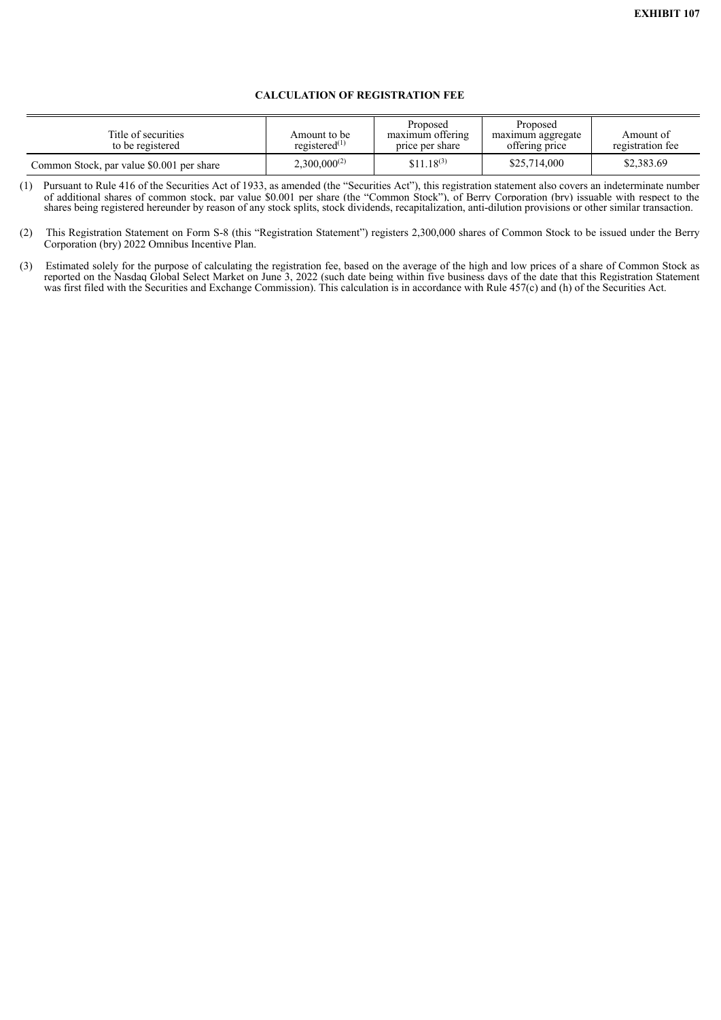# **CALCULATION OF REGISTRATION FEE**

<span id="page-8-0"></span>

| Title of securities<br>to be registered   | Amount to be<br>registered $(1)$ | Proposed<br>maximum offering<br>price per share | Proposed<br>maximum aggregate<br>offering price | Amount of<br>registration fee |
|-------------------------------------------|----------------------------------|-------------------------------------------------|-------------------------------------------------|-------------------------------|
| Common Stock, par value \$0.001 per share | $2.300,000^{(2)}$                | $$11.18^{(3)}$                                  | \$25,714,000                                    | \$2,383.69                    |

(1) Pursuant to Rule 416 of the Securities Act of 1933, as amended (the "Securities Act"), this registration statement also covers an indeterminate number of additional shares of common stock, par value \$0.001 per share (the "Common Stock"), of Berry Corporation (bry) issuable with respect to the shares being registered hereunder by reason of any stock splits, stock dividends, recapitalization, anti-dilution provisions or other similar transaction.

<sup>(2)</sup> This Registration Statement on Form S-8 (this "Registration Statement") registers 2,300,000 shares of Common Stock to be issued under the Berry Corporation (bry) 2022 Omnibus Incentive Plan.

<sup>(3)</sup> Estimated solely for the purpose of calculating the registration fee, based on the average of the high and low prices of a share of Common Stock as reported on the Nasdaq Global Select Market on June 3, 2022 (such date being within five business days of the date that this Registration Statement was first filed with the Securities and Exchange Commission). This calculation is in accordance with Rule 457(c) and (h) of the Securities Act.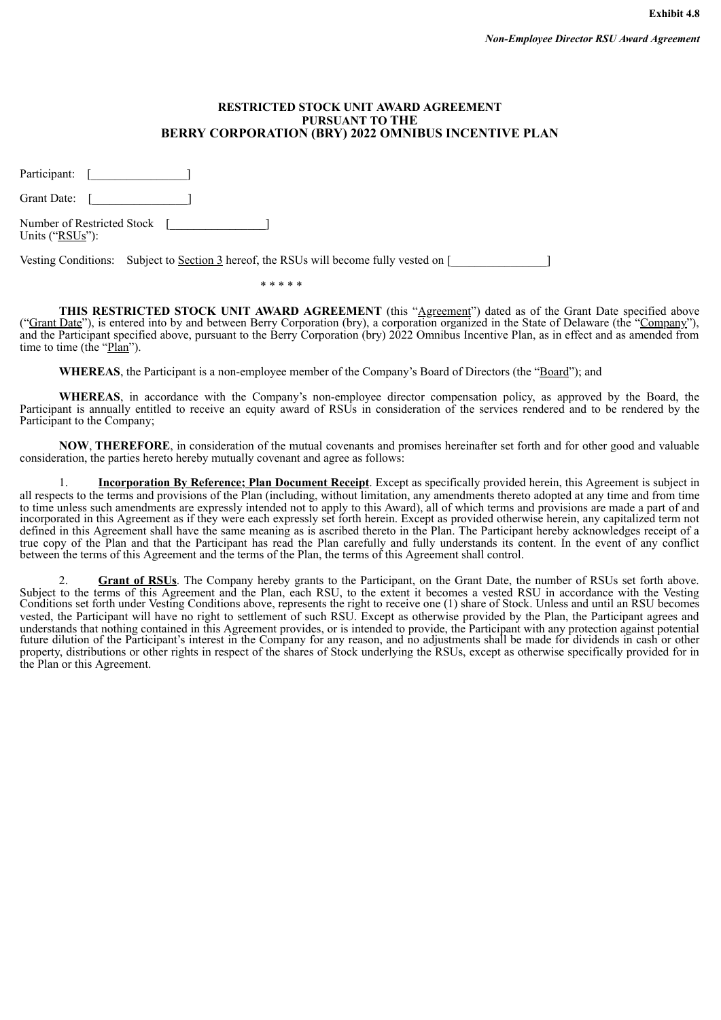# **RESTRICTED STOCK UNIT AWARD AGREEMENT PURSUANT TO THE BERRY CORPORATION (BRY) 2022 OMNIBUS INCENTIVE PLAN**

<span id="page-9-0"></span>Participant: [\_\_\_\_\_\_\_\_\_\_\_\_\_\_\_\_\_\_\_\_\_]

Grant Date: [\_\_\_\_\_\_\_\_\_\_\_\_\_\_\_\_]

Number of Restricted Stock [\_\_\_\_\_\_\_\_\_\_\_\_\_\_\_\_] Units ("RSUs"):

Vesting Conditions: Subject to Section 3 hereof, the RSUs will become fully vested on [

\* \* \* \* \*

**THIS RESTRICTED STOCK UNIT AWARD AGREEMENT** (this "Agreement") dated as of the Grant Date specified above ("Grant Date"), is entered into by and between Berry Corporation (bry), a corporation organized in the State of Delaware (the "Company"), and the Participant specified above, pursuant to the Berry Corporation (bry) 2022 Omnibus Incentive Plan, as in effect and as amended from time to time (the "Plan").

WHEREAS, the Participant is a non-employee member of the Company's Board of Directors (the "Board"); and

**WHEREAS**, in accordance with the Company's non-employee director compensation policy, as approved by the Board, the Participant is annually entitled to receive an equity award of RSUs in consideration of the services rendered and to be rendered by the Participant to the Company;

**NOW**, **THEREFORE**, in consideration of the mutual covenants and promises hereinafter set forth and for other good and valuable consideration, the parties hereto hereby mutually covenant and agree as follows:

1. **Incorporation By Reference; Plan Document Receipt**. Except as specifically provided herein, this Agreement is subject in all respects to the terms and provisions of the Plan (including, without limitation, any amendments thereto adopted at any time and from time to time unless such amendments are expressly intended not to apply to this Award), all of which terms and provisions are made a part of and incorporated in this Agreement as if they were each expressly set forth herein. Except as provided otherwise herein, any capitalized term not defined in this Agreement shall have the same meaning as is ascribed thereto in the Plan. The Participant hereby acknowledges receipt of a true copy of the Plan and that the Participant has read the Plan carefully and fully understands its content. In the event of any conflict between the terms of this Agreement and the terms of the Plan, the terms of this Agreement shall control.

2. **Grant of RSUs**. The Company hereby grants to the Participant, on the Grant Date, the number of RSUs set forth above. Subject to the terms of this Agreement and the Plan, each RSU, to the extent it becomes a vested RSU in accordance with the Vesting Conditions set forth under Vesting Conditions above, represents the right to receive one (1) share of Stock. Unless and until an RSU becomes vested, the Participant will have no right to settlement of such RSU. Except as otherwise provided by the Plan, the Participant agrees and understands that nothing contained in this Agreement provides, or is intended to provide, the Participant with any protection against potential future dilution of the Participant's interest in the Company for any reason, and no adjustments shall be made for dividends in cash or other property, distributions or other rights in respect of the shares of Stock underlying the RSUs, except as otherwise specifically provided for in the Plan or this Agreement.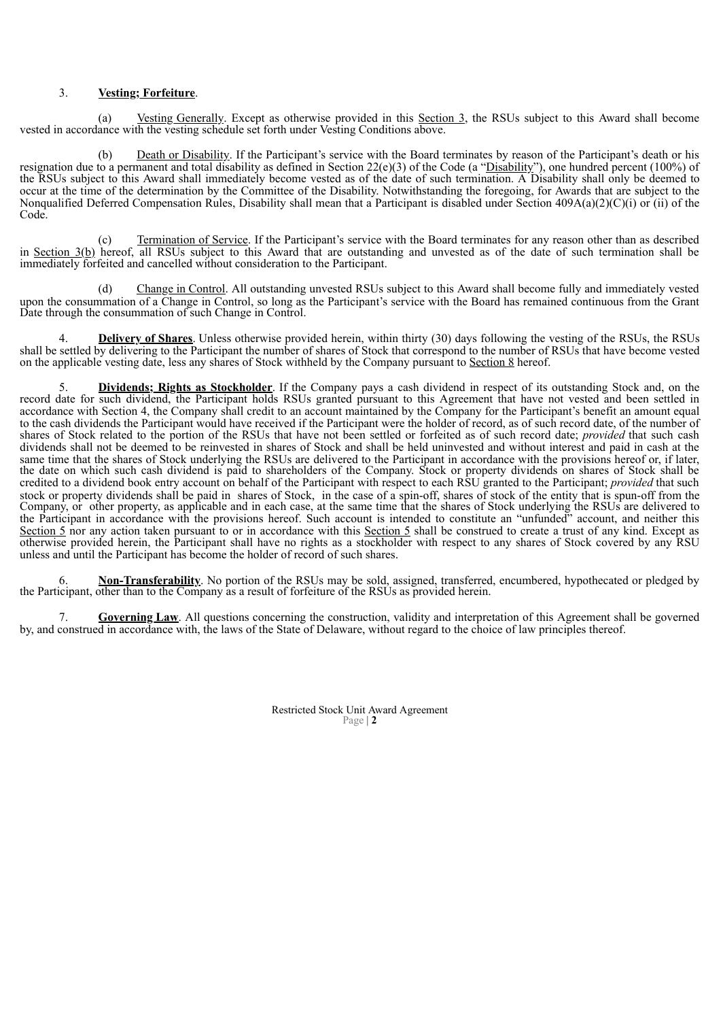# 3. **Vesting; Forfeiture**.

(a) Vesting Generally. Except as otherwise provided in this Section 3, the RSUs subject to this Award shall become vested in accordance with the vesting schedule set forth under Vesting Conditions above.

Death or Disability. If the Participant's service with the Board terminates by reason of the Participant's death or his resignation due to a permanent and total disability as defined in Section 22(e)(3) of the Code (a "Disability"), one hundred percent (100%) of the RSUs subject to this Award shall immediately become vested as of the date of such termination. A Disability shall only be deemed to occur at the time of the determination by the Committee of the Disability. Notwithstanding the foregoing, for Awards that are subject to the Nonqualified Deferred Compensation Rules, Disability shall mean that a Participant is disabled under Section  $409A(a)(2)(C)(i)$  or (ii) of the Code.

(c) Termination of Service. If the Participant's service with the Board terminates for any reason other than as described in Section 3(b) hereof, all RSUs subject to this Award that are outstanding and unvested as of the date of such termination shall be immediately forfeited and cancelled without consideration to the Participant.

(d) Change in Control. All outstanding unvested RSUs subject to this Award shall become fully and immediately vested upon the consummation of a Change in Control, so long as the Participant's service with the Board has remained continuous from the Grant Date through the consummation of such Change in Control.

**Delivery of Shares**. Unless otherwise provided herein, within thirty (30) days following the vesting of the RSUs, the RSUs shall be settled by delivering to the Participant the number of shares of Stock that correspond to the number of RSUs that have become vested on the applicable vesting date, less any shares of Stock withheld by the Company pursuant to Section 8 hereof.

5. **Dividends; Rights as Stockholder**. If the Company pays a cash dividend in respect of its outstanding Stock and, on the record date for such dividend, the Participant holds RSUs granted pursuant to this Agreement that have not vested and been settled in accordance with Section 4, the Company shall credit to an account maintained by the Company for the Participant's benefit an amount equal to the cash dividends the Participant would have received if the Participant were the holder of record, as of such record date, of the number of shares of Stock related to the portion of the RSUs that have not been settled or forfeited as of such record date; *provided* that such cash dividends shall not be deemed to be reinvested in shares of Stock and shall be held uninvested and without interest and paid in cash at the same time that the shares of Stock underlying the RSUs are delivered to the Participant in accordance with the provisions hereof or, if later, the date on which such cash dividend is paid to shareholders of the Company. Stock or property dividends on shares of Stock shall be credited to a dividend book entry account on behalf of the Participant with respect to each RSU granted to the Participant; *provided* that such stock or property dividends shall be paid in shares of Stock, in the case of a spin-off, shares of stock of the entity that is spun-off from the Company, or other property, as applicable and in each case, at the same time that the shares of Stock underlying the RSUs are delivered to the Participant in accordance with the provisions hereof. Such account is intended to constitute an "unfunded" account, and neither this Section 5 nor any action taken pursuant to or in accordance with this Section 5 shall be construed to create a trust of any kind. Except as otherwise provided herein, the Participant shall have no rights as a stockholder with respect to any shares of Stock covered by any RSU unless and until the Participant has become the holder of record of such shares.

6. **Non-Transferability**. No portion of the RSUs may be sold, assigned, transferred, encumbered, hypothecated or pledged by the Participant, other than to the Company as a result of forfeiture of the RSUs as provided herein.

7. **Governing Law**. All questions concerning the construction, validity and interpretation of this Agreement shall be governed by, and construed in accordance with, the laws of the State of Delaware, without regard to the choice of law principles thereof.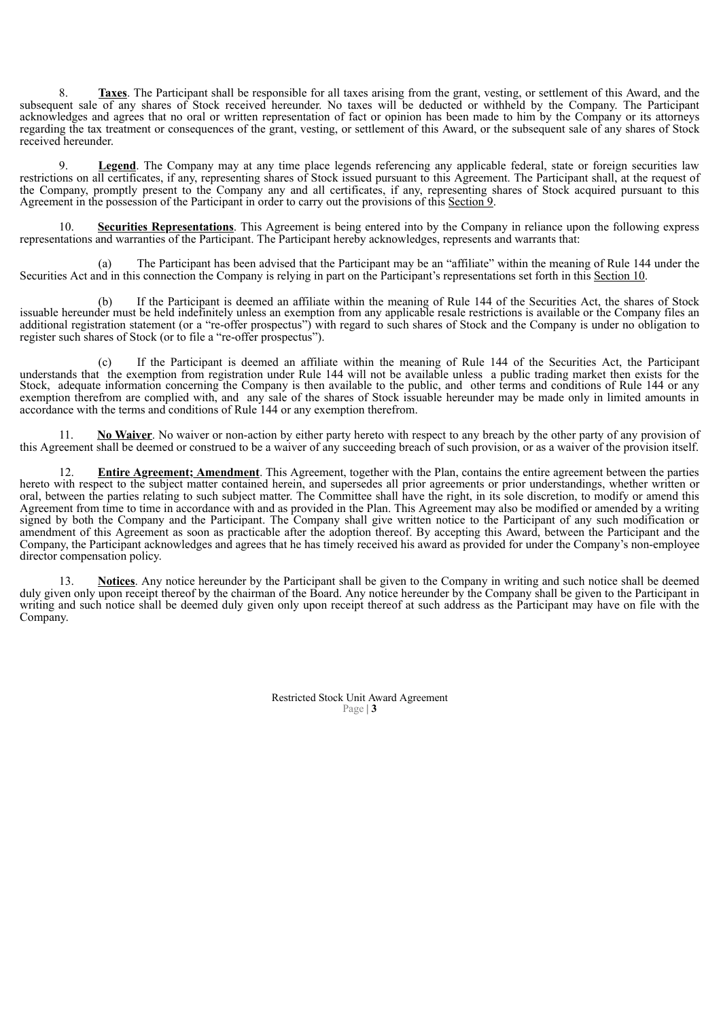8. **Taxes**. The Participant shall be responsible for all taxes arising from the grant, vesting, or settlement of this Award, and the subsequent sale of any shares of Stock received hereunder. No taxes will be deducted or withheld by the Company. The Participant acknowledges and agrees that no oral or written representation of fact or opinion has been made to him by the Company or its attorneys regarding the tax treatment or consequences of the grant, vesting, or settlement of this Award, or the subsequent sale of any shares of Stock received hereunder.

9. **Legend**. The Company may at any time place legends referencing any applicable federal, state or foreign securities law restrictions on all certificates, if any, representing shares of Stock issued pursuant to this Agreement. The Participant shall, at the request of the Company, promptly present to the Company any and all certificates, if any, representing shares of Stock acquired pursuant to this Agreement in the possession of the Participant in order to carry out the provisions of this Section 9.

10. **Securities Representations**. This Agreement is being entered into by the Company in reliance upon the following express representations and warranties of the Participant. The Participant hereby acknowledges, represents and warrants that:

(a) The Participant has been advised that the Participant may be an "affiliate" within the meaning of Rule 144 under the Securities Act and in this connection the Company is relying in part on the Participant's representations set forth in this Section 10.

(b) If the Participant is deemed an affiliate within the meaning of Rule 144 of the Securities Act, the shares of Stock issuable hereunder must be held indefinitely unless an exemption from any applicable resale restrictions is available or the Company files an additional registration statement (or a "re-offer prospectus") with regard to such shares of Stock and the Company is under no obligation to register such shares of Stock (or to file a "re-offer prospectus").

(c) If the Participant is deemed an affiliate within the meaning of Rule 144 of the Securities Act, the Participant understands that the exemption from registration under Rule 144 will not be available unless a public trading market then exists for the Stock, adequate information concerning the Company is then available to the public, and other terms and conditions of Rule 144 or any exemption therefrom are complied with, and any sale of the shares of Stock issuable hereunder may be made only in limited amounts in accordance with the terms and conditions of Rule 144 or any exemption therefrom.

11. **No Waiver**. No waiver or non-action by either party hereto with respect to any breach by the other party of any provision of this Agreement shall be deemed or construed to be a waiver of any succeeding breach of such provision, or as a waiver of the provision itself.

12. **Entire Agreement; Amendment**. This Agreement, together with the Plan, contains the entire agreement between the parties hereto with respect to the subject matter contained herein, and supersedes all prior agreements or prior understandings, whether written or oral, between the parties relating to such subject matter. The Committee shall have the right, in its sole discretion, to modify or amend this Agreement from time to time in accordance with and as provided in the Plan. This Agreement may also be modified or amended by a writing signed by both the Company and the Participant. The Company shall give written notice to the Participant of any such modification or amendment of this Agreement as soon as practicable after the adoption thereof. By accepting this Award, between the Participant and the Company, the Participant acknowledges and agrees that he has timely received his award as provided for under the Company's non-employee director compensation policy.

13. **Notices**. Any notice hereunder by the Participant shall be given to the Company in writing and such notice shall be deemed duly given only upon receipt thereof by the chairman of the Board. Any notice hereunder by the Company shall be given to the Participant in writing and such notice shall be deemed duly given only upon receipt thereof at such address as the Participant may have on file with the Company.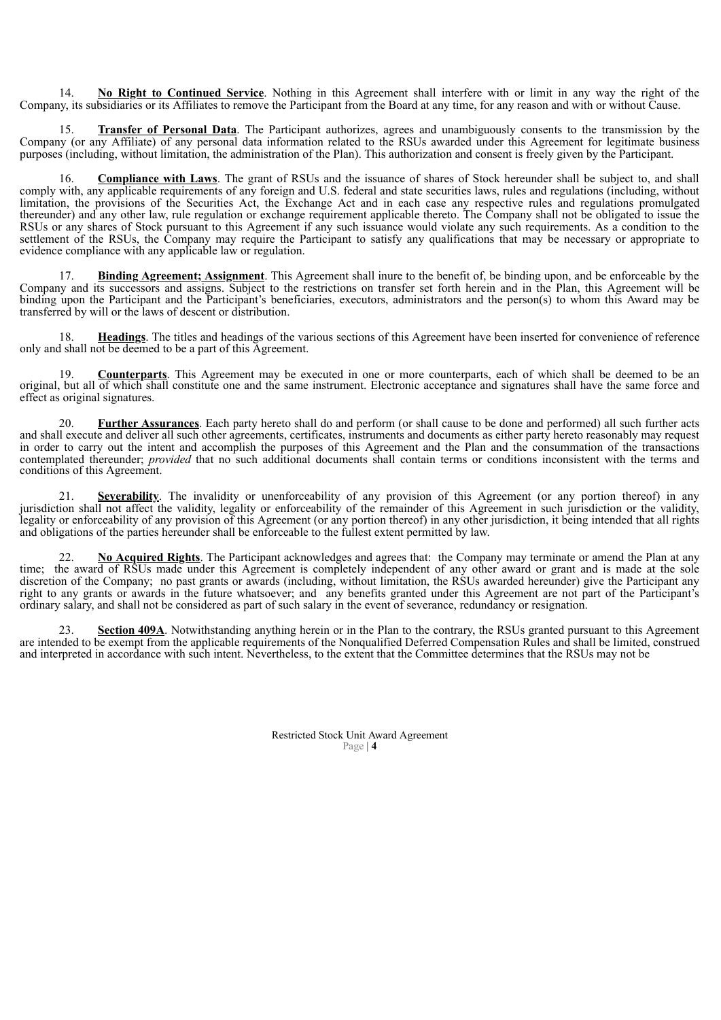14. **No Right to Continued Service**. Nothing in this Agreement shall interfere with or limit in any way the right of the Company, its subsidiaries or its Affiliates to remove the Participant from the Board at any time, for any reason and with or without Cause.

15. **Transfer of Personal Data**. The Participant authorizes, agrees and unambiguously consents to the transmission by the Company (or any Affiliate) of any personal data information related to the RSUs awarded under this Agreement for legitimate business purposes (including, without limitation, the administration of the Plan). This authorization and consent is freely given by the Participant.

16. **Compliance with Laws**. The grant of RSUs and the issuance of shares of Stock hereunder shall be subject to, and shall comply with, any applicable requirements of any foreign and U.S. federal and state securities laws, rules and regulations (including, without limitation, the provisions of the Securities Act, the Exchange Act and in each case any respective rules and regulations promulgated thereunder) and any other law, rule regulation or exchange requirement applicable thereto. The Company shall not be obligated to issue the RSUs or any shares of Stock pursuant to this Agreement if any such issuance would violate any such requirements. As a condition to the settlement of the RSUs, the Company may require the Participant to satisfy any qualifications that may be necessary or appropriate to evidence compliance with any applicable law or regulation.

17. **Binding Agreement; Assignment**. This Agreement shall inure to the benefit of, be binding upon, and be enforceable by the Company and its successors and assigns. Subject to the restrictions on transfer set forth herein and in the Plan, this Agreement will be binding upon the Participant and the Participant's beneficiaries, executors, administrators and the person(s) to whom this Award may be transferred by will or the laws of descent or distribution.

18. **Headings**. The titles and headings of the various sections of this Agreement have been inserted for convenience of reference only and shall not be deemed to be a part of this Agreement.

19. **Counterparts**. This Agreement may be executed in one or more counterparts, each of which shall be deemed to be an original, but all of which shall constitute one and the same instrument. Electronic acceptance and signatures shall have the same force and effect as original signatures.

20. **Further Assurances**. Each party hereto shall do and perform (or shall cause to be done and performed) all such further acts and shall execute and deliver all such other agreements, certificates, instruments and documents as either party hereto reasonably may request in order to carry out the intent and accomplish the purposes of this Agreement and the Plan and the consummation of the transactions contemplated thereunder; *provided* that no such additional documents shall contain terms or conditions inconsistent with the terms and conditions of this Agreement.

21. **Severability**. The invalidity or unenforceability of any provision of this Agreement (or any portion thereof) in any jurisdiction shall not affect the validity, legality or enforceability of the remainder of this Agreement in such jurisdiction or the validity, legality or enforceability of any provision of this Agreement (or any portion thereof) in any other jurisdiction, it being intended that all rights and obligations of the parties hereunder shall be enforceable to the fullest extent permitted by law.

No Acquired Rights. The Participant acknowledges and agrees that: the Company may terminate or amend the Plan at any time; the award of RSUs made under this Agreement is completely independent of any other award or grant and is made at the sole discretion of the Company; no past grants or awards (including, without limitation, the RSUs awarded hereunder) give the Participant any right to any grants or awards in the future whatsoever; and any benefits granted under this Agreement are not part of the Participant's ordinary salary, and shall not be considered as part of such salary in the event of severance, redundancy or resignation.

23. **Section 409A**. Notwithstanding anything herein or in the Plan to the contrary, the RSUs granted pursuant to this Agreement are intended to be exempt from the applicable requirements of the Nonqualified Deferred Compensation Rules and shall be limited, construed and interpreted in accordance with such intent. Nevertheless, to the extent that the Committee determines that the RSUs may not be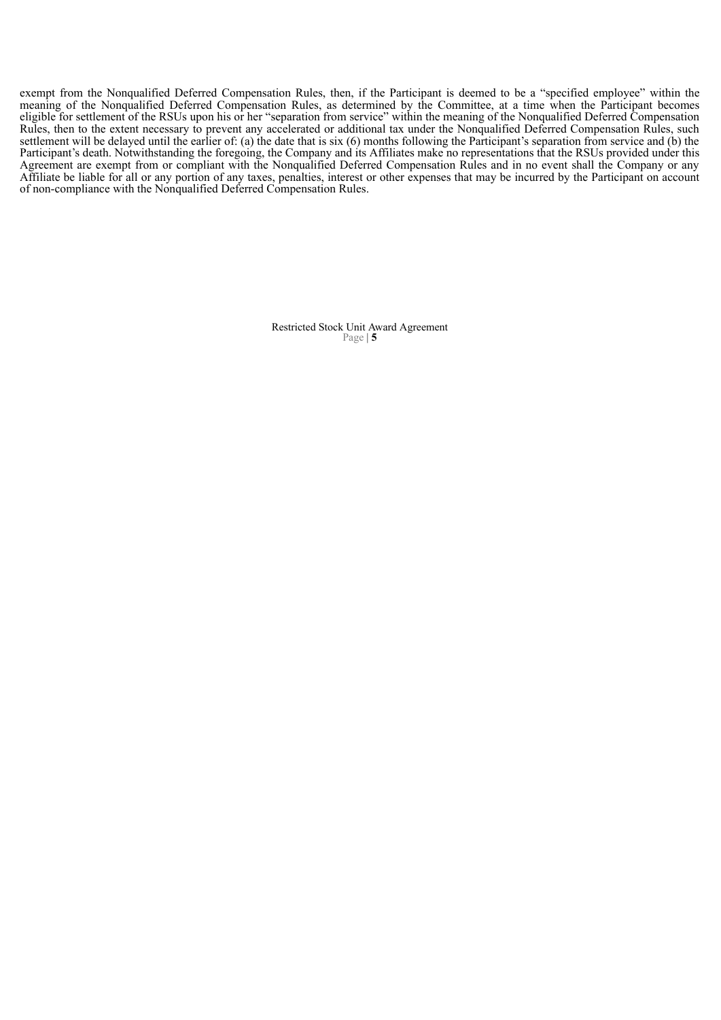exempt from the Nonqualified Deferred Compensation Rules, then, if the Participant is deemed to be a "specified employee" within the meaning of the Nonqualified Deferred Compensation Rules, as determined by the Committee, at a time when the Participant becomes eligible for settlement of the RSUs upon his or her "separation from service" within the meaning of the Nonqualified Deferred Compensation Rules, then to the extent necessary to prevent any accelerated or additional tax under the Nonqualified Deferred Compensation Rules, such settlement will be delayed until the earlier of: (a) the date that is six (6) months following the Participant's separation from service and (b) the Participant's death. Notwithstanding the foregoing, the Company and its Affiliates make no representations that the RSUs provided under this Agreement are exempt from or compliant with the Nonqualified Deferred Compensation Rules and in no event shall the Company or any Affiliate be liable for all or any portion of any taxes, penalties, interest or other expenses that may be incurred by the Participant on account of non-compliance with the Nonqualified Deferred Compensation Rules.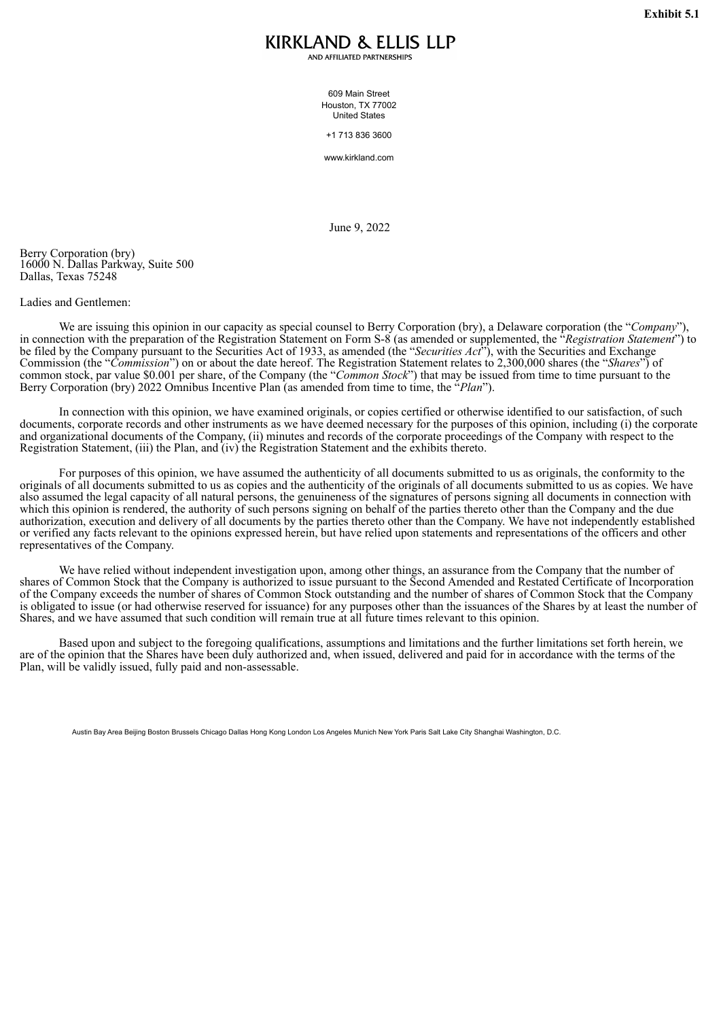# KIRKLAND & ELLIS LLP

AND AFFILIATED PARTNERSHIPS

609 Main Street Houston, TX 77002 United States

+1 713 836 3600

www.kirkland.com

June 9, 2022

<span id="page-14-0"></span>Berry Corporation (bry) 16000 N. Dallas Parkway, Suite 500 Dallas, Texas 75248

# Ladies and Gentlemen:

We are issuing this opinion in our capacity as special counsel to Berry Corporation (bry), a Delaware corporation (the "*Company*"), in connection with the preparation of the Registration Statement on Form S-8 (as amended or supplemented, the "*Registration Statement*") to be filed by the Company pursuant to the Securities Act of 1933, as amended (the "*Securities Act*"), with the Securities and Exchange Commission (the "*Commission*") on or about the date hereof. The Registration Statement relates to 2,300,000 shares (the "*Shares*") of common stock, par value \$0.001 per share, of the Company (the "*Common Stock*") that may be issued from time to time pursuant to the Berry Corporation (bry) 2022 Omnibus Incentive Plan (as amended from time to time, the "*Plan*").

In connection with this opinion, we have examined originals, or copies certified or otherwise identified to our satisfaction, of such documents, corporate records and other instruments as we have deemed necessary for the purposes of this opinion, including (i) the corporate and organizational documents of the Company, (ii) minutes and records of the corporate proceedings of the Company with respect to the Registration Statement, (iii) the Plan, and (iv) the Registration Statement and the exhibits thereto.

For purposes of this opinion, we have assumed the authenticity of all documents submitted to us as originals, the conformity to the originals of all documents submitted to us as copies and the authenticity of the originals of all documents submitted to us as copies. We have also assumed the legal capacity of all natural persons, the genuineness of the signatures of persons signing all documents in connection with which this opinion is rendered, the authority of such persons signing on behalf of the parties thereto other than the Company and the due authorization, execution and delivery of all documents by the parties thereto other than the Company. We have not independently established or verified any facts relevant to the opinions expressed herein, but have relied upon statements and representations of the officers and other representatives of the Company.

We have relied without independent investigation upon, among other things, an assurance from the Company that the number of shares of Common Stock that the Company is authorized to issue pursuant to the Second Amended and Restated Certificate of Incorporation of the Company exceeds the number of shares of Common Stock outstanding and the number of shares of Common Stock that the Company is obligated to issue (or had otherwise reserved for issuance) for any purposes other than the issuances of the Shares by at least the number of Shares, and we have assumed that such condition will remain true at all future times relevant to this opinion.

Based upon and subject to the foregoing qualifications, assumptions and limitations and the further limitations set forth herein, we are of the opinion that the Shares have been duly authorized and, when issued, delivered and paid for in accordance with the terms of the Plan, will be validly issued, fully paid and non-assessable.

Austin Bay Area Beijing Boston Brussels Chicago Dallas Hong Kong London Los Angeles Munich New York Paris Salt Lake City Shanghai Washington, D.C.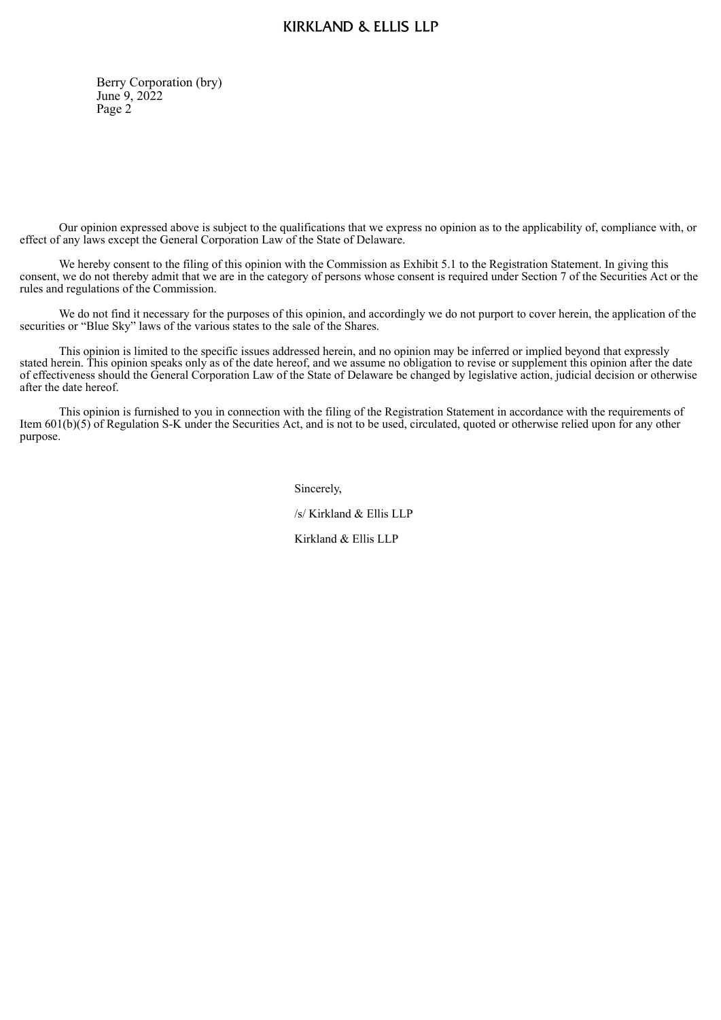# **KIRKLAND & ELLIS LLP**

Berry Corporation (bry) June 9, 2022 Page 2

Our opinion expressed above is subject to the qualifications that we express no opinion as to the applicability of, compliance with, or effect of any laws except the General Corporation Law of the State of Delaware.

We hereby consent to the filing of this opinion with the Commission as Exhibit 5.1 to the Registration Statement. In giving this consent, we do not thereby admit that we are in the category of persons whose consent is required under Section 7 of the Securities Act or the rules and regulations of the Commission.

We do not find it necessary for the purposes of this opinion, and accordingly we do not purport to cover herein, the application of the securities or "Blue Sky" laws of the various states to the sale of the Shares.

This opinion is limited to the specific issues addressed herein, and no opinion may be inferred or implied beyond that expressly stated herein. This opinion speaks only as of the date hereof, and we assume no obligation to revise or supplement this opinion after the date of effectiveness should the General Corporation Law of the State of Delaware be changed by legislative action, judicial decision or otherwise after the date hereof.

This opinion is furnished to you in connection with the filing of the Registration Statement in accordance with the requirements of Item 601(b)(5) of Regulation S-K under the Securities Act, and is not to be used, circulated, quoted or otherwise relied upon for any other purpose.

Sincerely,

/s/ Kirkland & Ellis LLP

Kirkland & Ellis LLP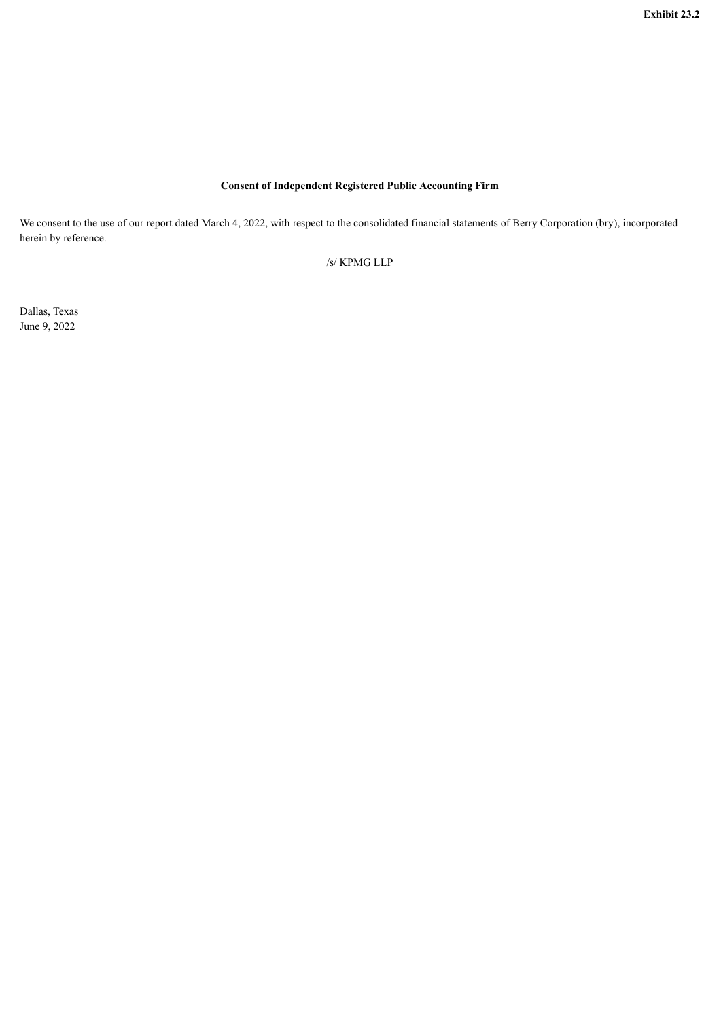# **Consent of Independent Registered Public Accounting Firm**

<span id="page-16-0"></span>We consent to the use of our report dated March 4, 2022, with respect to the consolidated financial statements of Berry Corporation (bry), incorporated herein by reference.

/s/ KPMG LLP

Dallas, Texas June 9, 2022